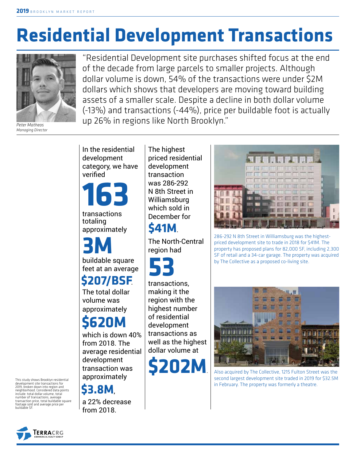# **Residential Development Transactions**



*Peter Matheos Managing Director*

"Residential Development site purchases shifted focus at the end of the decade from large parcels to smaller projects. Although dollar volume is down, 54% of the transactions were under \$2M dollars which shows that developers are moving toward building assets of a smaller scale. Despite a decline in both dollar volume (-13%) and transactions (-44%), price per buildable foot is actually up 26% in regions like North Brooklyn."

In the residential development category, we have verified

**163**

transactions totaling approximately

buildable square **3M**

feet at an average **\$207/BSF**.

The total dollar volume was approximately

## **\$620M**

which is down 40% from 2018. The average residential development transaction was approximately

**\$3.8M**,

a 22% decrease from 2018.

The highest priced residential development transaction was 286-292 N 8th Street in Williamsburg which sold in December for

### **\$41M**.

The North-Central region had



transactions, making it the region with the highest number of residential development transactions as well as the highest dollar volume at

**\$202M**.



286-292 N 8th Street in Williamsburg was the highestpriced development site to trade in 2018 for \$41M. The property has proposed plans for 82,000 SF, including 2,300 SF of retail and a 34-car garage. The property was acquired by The Collective as a proposed co-living site.



Also acquired by The Collective, 1215 Fulton Street was the second largest development site traded in 2019 for \$32.5M in February. The property was formerly a theatre.

This study shows Brooklyn residential development site transactions for 2019, broken down into region and neighborhood. Considered data points include: total dollar volume, total number of transactions, average transaction price, total buildable square footage sold and average price per buildable SF.

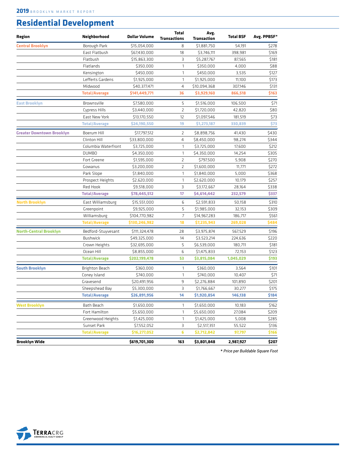#### **Residential Development**

| Region                           | Neighborhood         | <b>Dollar Volume</b> | <b>Total</b><br><b>Transactions</b> | Avg.<br><b>Transaction</b> | <b>Total BSF</b> | Avg. PPBSF* |
|----------------------------------|----------------------|----------------------|-------------------------------------|----------------------------|------------------|-------------|
| <b>Central Brooklyn</b>          | Borough Park         | \$15,054,000         | 8                                   | \$1,881,750                | 54,191           | \$278       |
|                                  | East Flatbush        | \$67,430,000         | 18                                  | \$3,746,111                | 398,981          | \$169       |
|                                  | Flatbush             | \$15,863,300         | З                                   | \$5,287,767                | 87,565           | \$181       |
|                                  | Flatlands            | \$350,000            | $\mathbf{1}$                        | \$350,000                  | 4,000            | \$88        |
|                                  | Kensington           | \$450,000            | $\mathbf{1}$                        | \$450,000                  | 3,535            | \$127       |
|                                  | Lefferts Gardens     | \$1,925,000          | $\mathbf{1}$                        | \$1,925,000                | 11,100           | \$173       |
|                                  | Midwood              | \$40,377,471         | $\overline{4}$                      | \$10,094,368               | 307,146          | \$131       |
|                                  | <b>Total/Average</b> | \$141,449,771        | 36                                  | \$3,929,160                | 866,518          | \$163       |
| East Brooklyn                    | Brownsville          | \$7,580,000          | 5                                   | \$1,516,000                | 106,500          | \$71        |
|                                  | Cypress Hills        | \$3,440,000          | $\overline{2}$                      | \$1,720,000                | 42,820           | \$80        |
|                                  | East New York        | \$13,170,550         | 12                                  | \$1,097,546                | 181,519          | \$73        |
|                                  | <b>Total/Average</b> | \$24,190,550         | 19                                  | \$1,273,187                | 330,839          | \$73        |
| <b>Greater Downtown Brooklyn</b> | Boerum Hill          | \$17,797,512         | 2                                   | \$8,898,756                | 41,430           | \$430       |
|                                  | Clinton Hill         | \$33,800,000         | 4                                   | \$8,450,000                | 98,274           | \$344       |
|                                  | Columbia Waterfront  | \$3,725,000          | 1                                   | \$3,725,000                | 17,600           | \$212       |
|                                  | <b>DUMBO</b>         | \$4,350,000          | 1                                   | \$4,350,000                | 14,254           | \$305       |
|                                  | Fort Greene          | \$1,595,000          | $\overline{2}$                      | \$797,500                  | 5,908            | \$270       |
|                                  | Gowanus              | \$3,200,000          | $\overline{2}$                      | \$1,600,000                | 11,771           | \$272       |
|                                  | Park Slope           | \$1,840,000          | $\mathbf{1}$                        | \$1,840,000                | 5,000            | \$368       |
|                                  | Prospect Heights     | \$2,620,000          | 1                                   | \$2,620,000                | 10.179           | \$257       |
|                                  | Red Hook             | \$9,518,000          | 3                                   | \$3,172,667                | 28,164           | \$338       |
|                                  | <b>Total/Average</b> | \$78,445,512         | 17                                  | \$4,614,442                | 232,579          | \$337       |
| <b>North Brooklyn</b>            | East Williamsburg    | \$15,551,000         | 6                                   | \$2,591,833                | 50,158           | \$310       |
|                                  | Greenpoint           | \$9,925,000          | 5                                   | \$1,985,000                | 32,153           | \$309       |
|                                  | Williamsburg         | \$104,770,982        | $\overline{7}$                      | \$14,967,283               | 186,717          | \$561       |
|                                  | <b>Total/Average</b> | \$130,246,982        | 18                                  | \$7,235,943                | 269,028          | \$484       |
| <b>North-Central Brooklyn</b>    | Bedford-Stuyvesant   | \$111,324,478        | 28                                  | \$3,975,874                | 567,529          | \$196       |
|                                  | <b>Bushwick</b>      | \$49,325,000         | 14                                  | \$3,523,214                | 224,636          | \$220       |
|                                  | Crown Heights        | \$32,695,000         | 5                                   | \$6,539,000                | 180,711          | \$181       |
|                                  | Ocean Hill           | \$8,855,000          | 6                                   | \$1,475,833                | 72,153           | \$123       |
|                                  | <b>Total/Average</b> | \$202,199,478        | 53                                  | \$3,815,084                | 1,045,029        | \$193       |
| <b>South Brooklyn</b>            | Brighton Beach       | \$360,000            | 1                                   | \$360,000                  | 3,564            | \$101       |
|                                  | Coney Island         | \$740,000            | $\mathbf{1}$                        | \$740,000                  | 10,407           | \$71        |
|                                  | Gravesend            | \$20,491,956         | 9                                   | \$2,276,884                | 101,890          | \$201       |
|                                  | Sheepshead Bay       | \$5,300,000          | 3                                   | \$1,766,667                | 30,277           | \$175       |
|                                  | <b>Total/Average</b> | \$26,891,956         | 14                                  | \$1,920,854                | 146,138          | \$184       |
| <b>West Brooklyn</b>             | Bath Beach           | \$1,650,000          | 1                                   | \$1,650,000                | 10,183           | \$162       |
|                                  | Fort Hamilton        | \$5,650,000          | $\mathbf{1}$                        | \$5,650,000                | 27,084           | \$209       |
|                                  | Greenwood Heights    | \$1,425,000          | $\mathbf{1}$                        | \$1,425,000                | 5,008            | \$285       |
|                                  | Sunset Park          | \$7,552,052          | 3                                   | \$2,517,351                | 55,522           | \$136       |
|                                  | <b>Total/Average</b> | \$16,277,052         | 6                                   | \$2,712,842                | 97,797           | \$166       |
| <b>Brooklyn Wide</b>             |                      | \$619,701,300        | 163                                 | \$3,801,848                | 2,987,927        | \$207       |

**\*** *Price per Buildable Square Foot*